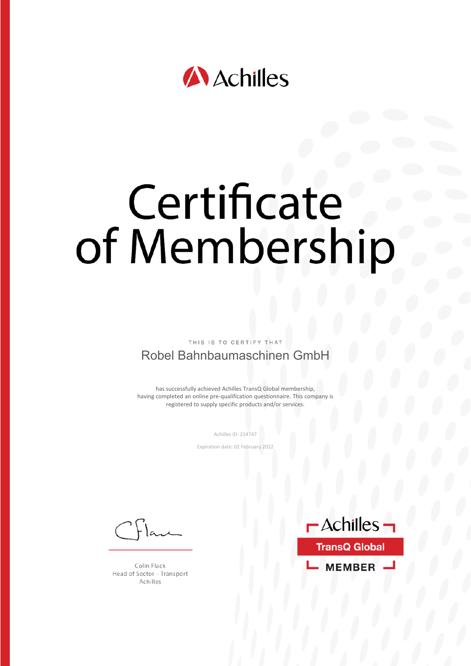

# Certificate of Membership

THIS IS TO CERTIFY

#### Robel Bahnbaumaschinen GmbH

has successfully achieved Achilles TransQ Global membership, having completed an online pre-qualification questionnaire. This company is registered to supply specific products and/or services.

Achilles ID: 214747

Expiration date: 02 February 2022

Colin Flack Head of Sector - Transport Achilles

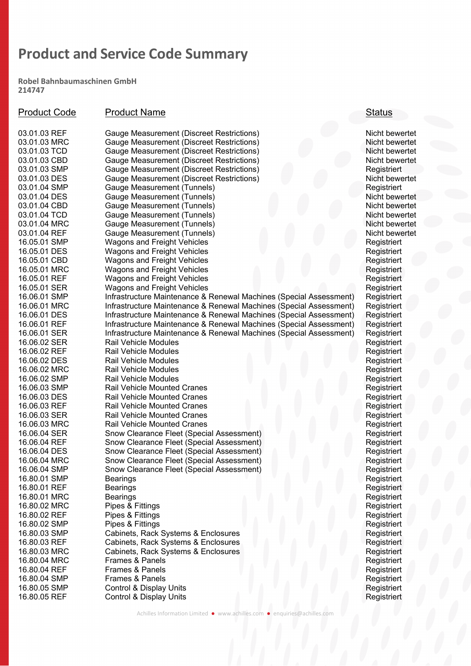Robel Bahnbaumaschinen GmbH 214747

| <b>Product Code</b> | <b>Product Name</b>                                                | <b>Status</b>  |
|---------------------|--------------------------------------------------------------------|----------------|
| 03.01.03 REF        | Gauge Measurement (Discreet Restrictions)                          | Nicht bewertet |
| 03.01.03 MRC        | Gauge Measurement (Discreet Restrictions)                          | Nicht bewertet |
| 03.01.03 TCD        | Gauge Measurement (Discreet Restrictions)                          | Nicht bewertet |
| 03.01.03 CBD        | Gauge Measurement (Discreet Restrictions)                          | Nicht bewertet |
| 03.01.03 SMP        | Gauge Measurement (Discreet Restrictions)                          | Registriert    |
| 03.01.03 DES        | Gauge Measurement (Discreet Restrictions)                          | Nicht bewertet |
| 03.01.04 SMP        | Gauge Measurement (Tunnels)                                        | Registriert    |
| 03.01.04 DES        | Gauge Measurement (Tunnels)                                        | Nicht bewertet |
| 03.01.04 CBD        | Gauge Measurement (Tunnels)                                        | Nicht bewertet |
| 03.01.04 TCD        | Gauge Measurement (Tunnels)                                        | Nicht bewertet |
| 03.01.04 MRC        | Gauge Measurement (Tunnels)                                        | Nicht bewertet |
| 03.01.04 REF        | Gauge Measurement (Tunnels)                                        | Nicht bewertet |
| 16.05.01 SMP        | <b>Wagons and Freight Vehicles</b>                                 | Registriert    |
| 16.05.01 DES        | <b>Wagons and Freight Vehicles</b>                                 | Registriert    |
| 16.05.01 CBD        | <b>Wagons and Freight Vehicles</b>                                 | Registriert    |
| 16.05.01 MRC        | <b>Wagons and Freight Vehicles</b>                                 | Registriert    |
| 16.05.01 REF        | <b>Wagons and Freight Vehicles</b>                                 | Registriert    |
| 16.05.01 SER        | <b>Wagons and Freight Vehicles</b>                                 | Registriert    |
| 16.06.01 SMP        | Infrastructure Maintenance & Renewal Machines (Special Assessment) | Registriert    |
| 16.06.01 MRC        | Infrastructure Maintenance & Renewal Machines (Special Assessment) | Registriert    |
| 16.06.01 DES        | Infrastructure Maintenance & Renewal Machines (Special Assessment) | Registriert    |
| 16.06.01 REF        | Infrastructure Maintenance & Renewal Machines (Special Assessment) | Registriert    |
| 16.06.01 SER        | Infrastructure Maintenance & Renewal Machines (Special Assessment) | Registriert    |
| 16.06.02 SER        | <b>Rail Vehicle Modules</b>                                        | Registriert    |
| 16.06.02 REF        | Rail Vehicle Modules                                               | Registriert    |
| 16.06.02 DES        | <b>Rail Vehicle Modules</b>                                        | Registriert    |
| 16.06.02 MRC        | <b>Rail Vehicle Modules</b>                                        | Registriert    |
| 16.06.02 SMP        | Rail Vehicle Modules                                               | Registriert    |
| 16.06.03 SMP        | <b>Rail Vehicle Mounted Cranes</b>                                 | Registriert    |
| 16.06.03 DES        | <b>Rail Vehicle Mounted Cranes</b>                                 | Registriert    |
| 16.06.03 REF        | <b>Rail Vehicle Mounted Cranes</b>                                 | Registriert    |
| 16.06.03 SER        | <b>Rail Vehicle Mounted Cranes</b>                                 | Registriert    |
| 16.06.03 MRC        | <b>Rail Vehicle Mounted Cranes</b>                                 | Registriert    |
| 16.06.04 SER        | Snow Clearance Fleet (Special Assessment)                          | Registriert    |
| 16.06.04 REF        | Snow Clearance Fleet (Special Assessment)                          | Registriert    |
| 16.06.04 DES        | Snow Clearance Fleet (Special Assessment)                          | Registriert    |
| 16.06.04 MRC        | Snow Clearance Fleet (Special Assessment)                          | Registriert    |
| 16.06.04 SMP        | Snow Clearance Fleet (Special Assessment)                          | Registriert    |
| 16.80.01 SMP        | <b>Bearings</b>                                                    | Registriert    |
| 16.80.01 REF        | <b>Bearings</b>                                                    | Registriert    |
| 16.80.01 MRC        | <b>Bearings</b>                                                    | Registriert    |
| 16.80.02 MRC        | Pipes & Fittings                                                   | Registriert    |
| 16.80.02 REF        | Pipes & Fittings                                                   | Registriert    |
| 16.80.02 SMP        | Pipes & Fittings                                                   | Registriert    |
| 16.80.03 SMP        | Cabinets, Rack Systems & Enclosures                                | Registriert    |
| 16.80.03 REF        | Cabinets, Rack Systems & Enclosures                                | Registriert    |
| 16.80.03 MRC        | Cabinets, Rack Systems & Enclosures                                | Registriert    |
| 16.80.04 MRC        | <b>Frames &amp; Panels</b>                                         | Registriert    |
| 16.80.04 REF        | Frames & Panels                                                    | Registriert    |
| 16.80.04 SMP        | <b>Frames &amp; Panels</b>                                         | Registriert    |
| 16.80.05 SMP        | Control & Display Units                                            | Registriert    |
| 16.80.05 REF        | Control & Display Units                                            | Registriert    |

Achilles Information Limited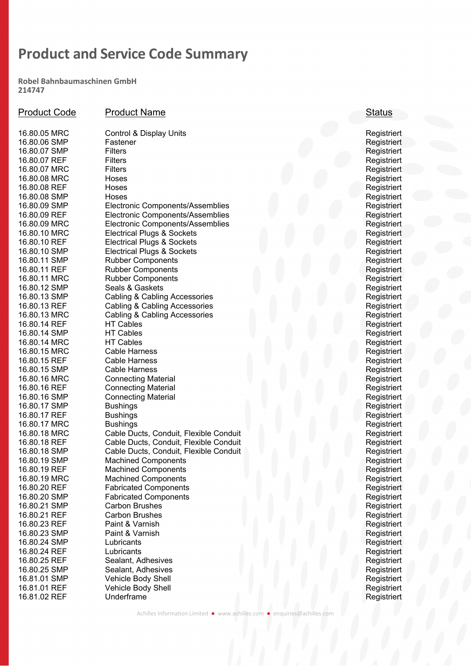Robel Bahnbaumaschinen GmbH 214747

| <b>Product Code</b>          | <b>Product Name</b>                                   | <b>Status</b>             |
|------------------------------|-------------------------------------------------------|---------------------------|
| 16.80.05 MRC                 | Control & Display Units                               | Registriert               |
| 16.80.06 SMP                 | Fastener                                              | Registriert               |
| 16.80.07 SMP                 | <b>Filters</b>                                        | Registriert               |
| 16.80.07 REF                 | <b>Filters</b>                                        | Registriert               |
| 16.80.07 MRC                 | <b>Filters</b>                                        | Registriert               |
| 16.80.08 MRC                 | Hoses                                                 | Registriert               |
| 16.80.08 REF                 | Hoses                                                 | Registriert               |
| 16.80.08 SMP                 | Hoses                                                 | Registriert               |
| 16.80.09 SMP                 | Electronic Components/Assemblies                      | Registriert               |
| 16.80.09 REF                 | Electronic Components/Assemblies                      | Registriert               |
| 16.80.09 MRC                 | Electronic Components/Assemblies                      | Registriert               |
| 16.80.10 MRC                 | <b>Electrical Plugs &amp; Sockets</b>                 | Registriert               |
| 16.80.10 REF                 | <b>Electrical Plugs &amp; Sockets</b>                 | Registriert               |
| 16.80.10 SMP                 | <b>Electrical Plugs &amp; Sockets</b>                 | Registriert               |
| 16.80.11 SMP                 | <b>Rubber Components</b>                              | Registriert               |
| 16.80.11 REF                 | <b>Rubber Components</b>                              | Registriert               |
| 16.80.11 MRC                 | <b>Rubber Components</b>                              | Registriert               |
| 16.80.12 SMP                 | Seals & Gaskets                                       | Registriert               |
| 16.80.13 SMP                 | Cabling & Cabling Accessories                         | Registriert               |
| 16.80.13 REF                 | Cabling & Cabling Accessories                         | Registriert               |
| 16.80.13 MRC                 | Cabling & Cabling Accessories                         | Registriert               |
| 16.80.14 REF                 | <b>HT Cables</b>                                      | Registriert               |
| 16.80.14 SMP                 | <b>HT Cables</b>                                      | Registriert               |
| 16.80.14 MRC                 | <b>HT Cables</b>                                      | Registriert               |
| 16.80.15 MRC                 | <b>Cable Harness</b>                                  | Registriert               |
| 16.80.15 REF                 | Cable Harness                                         | Registriert               |
| 16.80.15 SMP                 | <b>Cable Harness</b>                                  | Registriert               |
| 16.80.16 MRC                 | <b>Connecting Material</b>                            | Registriert               |
| 16.80.16 REF                 | <b>Connecting Material</b>                            | Registriert               |
| 16.80.16 SMP                 | <b>Connecting Material</b>                            | Registriert               |
| 16.80.17 SMP                 | <b>Bushings</b>                                       | Registriert               |
| 16.80.17 REF                 | <b>Bushings</b>                                       | Registriert               |
| 16.80.17 MRC                 | <b>Bushings</b>                                       | Registriert               |
| 16.80.18 MRC                 | Cable Ducts, Conduit, Flexible Conduit                | Registriert               |
| 16.80.18 REF                 | Cable Ducts, Conduit, Flexible Conduit                | Registriert               |
| 16.80.18 SMP                 | Cable Ducts, Conduit, Flexible Conduit                | Registriert               |
| 16.80.19 SMP<br>16.80.19 REF | <b>Machined Components</b>                            | Registriert               |
|                              | <b>Machined Components</b>                            | Registriert               |
| 16.80.19 MRC<br>16.80.20 REF | <b>Machined Components</b>                            | Registriert               |
| 16.80.20 SMP                 | <b>Fabricated Components</b>                          | Registriert               |
| 16.80.21 SMP                 | <b>Fabricated Components</b><br><b>Carbon Brushes</b> | Registriert               |
| 16.80.21 REF                 | <b>Carbon Brushes</b>                                 | Registriert               |
| 16.80.23 REF                 | Paint & Varnish                                       | Registriert               |
| 16.80.23 SMP                 | Paint & Varnish                                       | Registriert               |
| 16.80.24 SMP                 | Lubricants                                            | Registriert<br>Registrier |
| 16.80.24 REF                 | Lubricants                                            |                           |
| 16.80.25 REF                 | Sealant, Adhesives                                    | Registriert               |
| 16.80.25 SMP                 | Sealant, Adhesives                                    | Registriert               |
| 16.81.01 SMP                 |                                                       | Registriert               |
| 16.81.01 REF                 | Vehicle Body Shell                                    | Registriert               |
| 16.81.02 REF                 | Vehicle Body Shell<br>Underframe                      | Registriert               |
|                              |                                                       | Registriert               |

Achilles Information Limited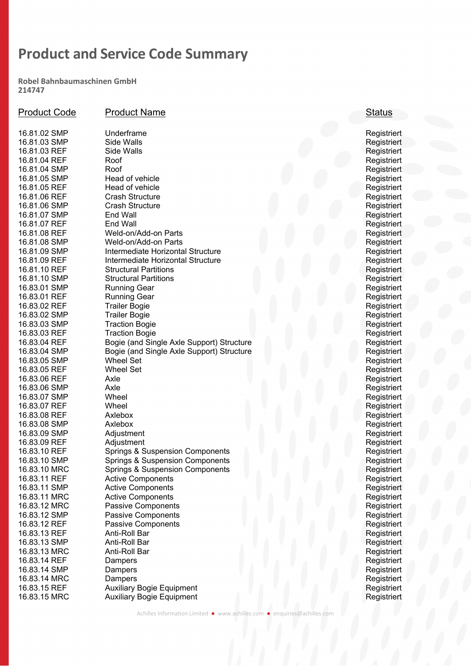Robel Bahnbaumaschinen GmbH 214747

| <b>Product Code</b>          | <b>Product Name</b>                        | <b>Status</b>              |
|------------------------------|--------------------------------------------|----------------------------|
| 16.81.02 SMP                 | Underframe                                 | Registriert                |
| 16.81.03 SMP                 | Side Walls                                 | Registriert                |
| 16.81.03 REF                 | Side Walls                                 | Registriert                |
| 16.81.04 REF                 | Roof                                       | Registriert                |
| 16.81.04 SMP                 | Roof                                       | Registriert                |
| 16.81.05 SMP                 | Head of vehicle                            | Registriert                |
| 16.81.05 REF                 | Head of vehicle                            | Registriert                |
| 16.81.06 REF                 | <b>Crash Structure</b>                     | Registriert                |
| 16.81.06 SMP                 | <b>Crash Structure</b>                     | Registriert                |
| 16.81.07 SMP                 | End Wall                                   | Registriert                |
| 16.81.07 REF                 | End Wall                                   | Registriert                |
| 16.81.08 REF                 | Weld-on/Add-on Parts                       | Registriert                |
| 16.81.08 SMP                 | Weld-on/Add-on Parts                       | Registriert                |
| 16.81.09 SMP                 | Intermediate Horizontal Structure          | Registriert                |
| 16.81.09 REF                 | Intermediate Horizontal Structure          | Registriert                |
| 16.81.10 REF                 | <b>Structural Partitions</b>               | Registriert                |
| 16.81.10 SMP                 | <b>Structural Partitions</b>               | Registriert                |
| 16.83.01 SMP                 | <b>Running Gear</b>                        | Registriert                |
| 16.83.01 REF                 | <b>Running Gear</b>                        | Registriert                |
| 16.83.02 REF                 | <b>Trailer Bogie</b>                       | Registriert                |
| 16.83.02 SMP                 | <b>Trailer Bogie</b>                       | Registriert                |
| 16.83.03 SMP                 | <b>Traction Bogie</b>                      | Registriert                |
| 16.83.03 REF                 | <b>Traction Bogie</b>                      | Registriert                |
| 16.83.04 REF                 | Bogie (and Single Axle Support) Structure  | Registriert                |
| 16.83.04 SMP                 | Bogie (and Single Axle Support) Structure  | Registriert                |
| 16.83.05 SMP                 | <b>Wheel Set</b>                           | Registriert                |
| 16.83.05 REF                 | <b>Wheel Set</b>                           | Registriert                |
| 16.83.06 REF                 | Axle<br>Axle                               | Registriert                |
| 16.83.06 SMP                 | Wheel                                      | Registriert                |
| 16.83.07 SMP<br>16.83.07 REF | Wheel                                      | Registriert                |
| 16.83.08 REF                 | Axlebox                                    | Registriert<br>Registriert |
| 16.83.08 SMP                 | Axlebox                                    | Registriert                |
| 16.83.09 SMP                 | Adjustment                                 | Registriert                |
| 16.83.09 REF                 | Adjustment                                 | Registriert                |
| 16.83.10 REF                 | <b>Springs &amp; Suspension Components</b> | Registriert                |
| 16.83.10 SMP                 | <b>Springs &amp; Suspension Components</b> | Registriert                |
| 16.83.10 MRC                 | <b>Springs &amp; Suspension Components</b> | Registriert                |
| 16.83.11 REF                 | <b>Active Components</b>                   | Registriert                |
| 16.83.11 SMP                 | <b>Active Components</b>                   | Registriert                |
| 16.83.11 MRC                 | <b>Active Components</b>                   | Registriert                |
| 16.83.12 MRC                 | <b>Passive Components</b>                  | Registriert                |
| 16.83.12 SMP                 | <b>Passive Components</b>                  | Registriert                |
| 16.83.12 REF                 | <b>Passive Components</b>                  | Registriert                |
| 16.83.13 REF                 | Anti-Roll Bar                              | Registriert                |
| 16.83.13 SMP                 | Anti-Roll Bar                              | Registriert                |
| 16.83.13 MRC                 | Anti-Roll Bar                              | Registriert                |
| 16.83.14 REF                 | Dampers                                    | Registriert                |
| 16.83.14 SMP                 | Dampers                                    | Registriert                |
| 16.83.14 MRC                 | Dampers                                    | Registriert                |
| 16.83.15 REF                 | <b>Auxiliary Bogie Equipment</b>           | Registriert                |
| 16.83.15 MRC                 | <b>Auxiliary Bogie Equipment</b>           | Registriert                |

Achilles Information Limited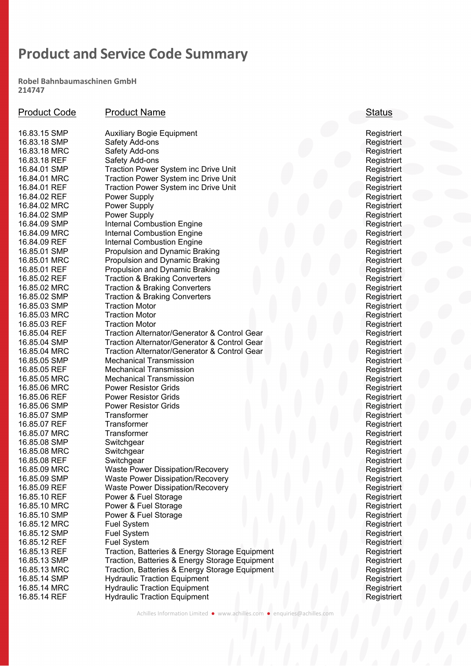Robel Bahnbaumaschinen GmbH 214747

| <b>Product Code</b> | <b>Product Name</b>                                     | <b>Status</b> |
|---------------------|---------------------------------------------------------|---------------|
| 16.83.15 SMP        | <b>Auxiliary Bogie Equipment</b>                        | Registriert   |
| 16.83.18 SMP        | Safety Add-ons                                          | Registriert   |
| 16.83.18 MRC        | Safety Add-ons                                          | Registriert   |
| 16.83.18 REF        | Safety Add-ons                                          | Registriert   |
| 16.84.01 SMP        | <b>Traction Power System inc Drive Unit</b>             | Registriert   |
| 16.84.01 MRC        | <b>Traction Power System inc Drive Unit</b>             | Registriert   |
| 16.84.01 REF        | <b>Traction Power System inc Drive Unit</b>             | Registriert   |
| 16.84.02 REF        | Power Supply                                            | Registriert   |
| 16.84.02 MRC        | Power Supply                                            | Registriert   |
| 16.84.02 SMP        | Power Supply                                            | Registriert   |
| 16.84.09 SMP        | <b>Internal Combustion Engine</b>                       | Registriert   |
| 16.84.09 MRC        | <b>Internal Combustion Engine</b>                       | Registriert   |
| 16.84.09 REF        | <b>Internal Combustion Engine</b>                       | Registriert   |
| 16.85.01 SMP        | Propulsion and Dynamic Braking                          | Registriert   |
| 16.85.01 MRC        | Propulsion and Dynamic Braking                          | Registriert   |
| 16.85.01 REF        | Propulsion and Dynamic Braking                          | Registriert   |
| 16.85.02 REF        | <b>Traction &amp; Braking Converters</b>                | Registriert   |
| 16.85.02 MRC        | <b>Traction &amp; Braking Converters</b>                | Registriert   |
| 16.85.02 SMP        | <b>Traction &amp; Braking Converters</b>                | Registriert   |
| 16.85.03 SMP        | <b>Traction Motor</b>                                   | Registriert   |
| 16.85.03 MRC        | <b>Traction Motor</b>                                   | Registriert   |
| 16.85.03 REF        | <b>Traction Motor</b>                                   | Registriert   |
| 16.85.04 REF        | <b>Traction Alternator/Generator &amp; Control Gear</b> | Registriert   |
| 16.85.04 SMP        | <b>Traction Alternator/Generator &amp; Control Gear</b> | Registriert   |
| 16.85.04 MRC        | <b>Traction Alternator/Generator &amp; Control Gear</b> | Registriert   |
| 16.85.05 SMP        | <b>Mechanical Transmission</b>                          | Registriert   |
| 16.85.05 REF        | <b>Mechanical Transmission</b>                          | Registriert   |
| 16.85.05 MRC        | <b>Mechanical Transmission</b>                          | Registriert   |
| 16.85.06 MRC        | <b>Power Resistor Grids</b>                             | Registriert   |
| 16.85.06 REF        | <b>Power Resistor Grids</b>                             | Registriert   |
| 16.85.06 SMP        | <b>Power Resistor Grids</b>                             | Registriert   |
| 16.85.07 SMP        | Transformer                                             | Registriert   |
| 16.85.07 REF        | Transformer                                             | Registriert   |
| 16.85.07 MRC        | Transformer                                             | Registriert   |
| 16.85.08 SMP        | Switchgear                                              | Registriert   |
| 16.85.08 MRC        | Switchgear                                              | Registrier    |
| 16.85.08 REF        | Switchgear                                              | Registriert   |
| 16.85.09 MRC        | <b>Waste Power Dissipation/Recovery</b>                 | Registriert   |
| 16.85.09 SMP        | <b>Waste Power Dissipation/Recovery</b>                 | Registriert   |
| 16.85.09 REF        | <b>Waste Power Dissipation/Recovery</b>                 | Registriert   |
| 16.85.10 REF        | Power & Fuel Storage                                    | Registriert   |
| 16.85.10 MRC        | Power & Fuel Storage                                    | Registriert   |
| 16.85.10 SMP        | Power & Fuel Storage                                    | Registriert   |
| 16.85.12 MRC        | <b>Fuel System</b>                                      | Registriert   |
| 16.85.12 SMP        | <b>Fuel System</b>                                      | Registrier    |
| 16.85.12 REF        | <b>Fuel System</b>                                      | Registriert   |
| 16.85.13 REF        | Traction, Batteries & Energy Storage Equipment          | Registriert   |
| 16.85.13 SMP        | Traction, Batteries & Energy Storage Equipment          | Registriert   |
| 16.85.13 MRC        | Traction, Batteries & Energy Storage Equipment          | Registriert   |
| 16.85.14 SMP        | <b>Hydraulic Traction Equipment</b>                     | Registriert   |
| 16.85.14 MRC        | <b>Hydraulic Traction Equipment</b>                     | Registriert   |
| 16.85.14 REF        | <b>Hydraulic Traction Equipment</b>                     | Registriert   |

Achilles Information Limited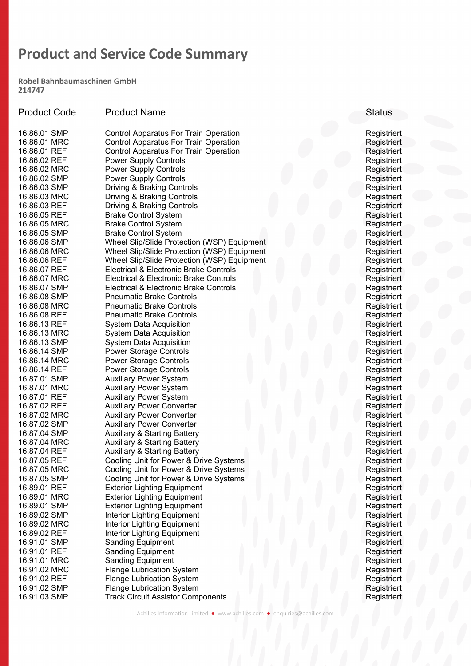Robel Bahnbaumaschinen GmbH 214747

| <b>Product Code</b> | <b>Product Name</b>                          | <b>Status</b> |
|---------------------|----------------------------------------------|---------------|
|                     |                                              |               |
| 16.86.01 SMP        | <b>Control Apparatus For Train Operation</b> | Registriert   |
| 16.86.01 MRC        | <b>Control Apparatus For Train Operation</b> | Registriert   |
| 16.86.01 REF        | <b>Control Apparatus For Train Operation</b> | Registriert   |
| 16.86.02 REF        | <b>Power Supply Controls</b>                 | Registriert   |
| 16.86.02 MRC        | <b>Power Supply Controls</b>                 | Registriert   |
| 16.86.02 SMP        | <b>Power Supply Controls</b>                 | Registriert   |
| 16.86.03 SMP        | Driving & Braking Controls                   | Registriert   |
| 16.86.03 MRC        | Driving & Braking Controls                   | Registriert   |
| 16.86.03 REF        | Driving & Braking Controls                   | Registriert   |
| 16.86.05 REF        | <b>Brake Control System</b>                  | Registriert   |
| 16.86.05 MRC        | <b>Brake Control System</b>                  | Registriert   |
| 16.86.05 SMP        | <b>Brake Control System</b>                  | Registriert   |
| 16.86.06 SMP        | Wheel Slip/Slide Protection (WSP) Equipment  | Registriert   |
| 16.86.06 MRC        | Wheel Slip/Slide Protection (WSP) Equipment  | Registriert   |
| 16.86.06 REF        | Wheel Slip/Slide Protection (WSP) Equipment  | Registriert   |
| 16.86.07 REF        | Electrical & Electronic Brake Controls       | Registriert   |
| 16.86.07 MRC        | Electrical & Electronic Brake Controls       | Registriert   |
| 16.86.07 SMP        | Electrical & Electronic Brake Controls       | Registriert   |
| 16.86.08 SMP        | <b>Pneumatic Brake Controls</b>              | Registriert   |
| 16.86.08 MRC        | <b>Pneumatic Brake Controls</b>              | Registriert   |
| 16.86.08 REF        | <b>Pneumatic Brake Controls</b>              | Registriert   |
| 16.86.13 REF        | System Data Acquisition                      | Registriert   |
| 16.86.13 MRC        | <b>System Data Acquisition</b>               | Registriert   |
| 16.86.13 SMP        | <b>System Data Acquisition</b>               | Registriert   |
| 16.86.14 SMP        | <b>Power Storage Controls</b>                | Registriert   |
| 16.86.14 MRC        | <b>Power Storage Controls</b>                | Registriert   |
| 16.86.14 REF        | <b>Power Storage Controls</b>                | Registriert   |
| 16.87.01 SMP        | <b>Auxiliary Power System</b>                | Registriert   |
| 16.87.01 MRC        | <b>Auxiliary Power System</b>                | Registriert   |
| 16.87.01 REF        | <b>Auxiliary Power System</b>                | Registriert   |
| 16.87.02 REF        | <b>Auxiliary Power Converter</b>             | Registriert   |
| 16.87.02 MRC        | <b>Auxiliary Power Converter</b>             | Registriert   |
| 16.87.02 SMP        | <b>Auxiliary Power Converter</b>             | Registriert   |
| 16.87.04 SMP        | <b>Auxiliary &amp; Starting Battery</b>      | Registriert   |
| 16.87.04 MRC        | <b>Auxiliary &amp; Starting Battery</b>      | Registriert   |
| 16.87.04 REF        | <b>Auxiliary &amp; Starting Battery</b>      | Registriert   |
| 16.87.05 REF        | Cooling Unit for Power & Drive Systems       | Registriert   |
| 16.87.05 MRC        | Cooling Unit for Power & Drive Systems       | Registriert   |
| 16.87.05 SMP        | Cooling Unit for Power & Drive Systems       | Registriert   |
| 16.89.01 REF        | <b>Exterior Lighting Equipment</b>           | Registriert   |
| 16.89.01 MRC        | <b>Exterior Lighting Equipment</b>           | Registriert   |
| 16.89.01 SMP        | <b>Exterior Lighting Equipment</b>           | Registriert   |
| 16.89.02 SMP        | Interior Lighting Equipment                  | Registriert   |
| 16.89.02 MRC        | Interior Lighting Equipment                  | Registriert   |
| 16.89.02 REF        | Interior Lighting Equipment                  | Registriert   |
| 16.91.01 SMP        | <b>Sanding Equipment</b>                     | Registriert   |
| 16.91.01 REF        | <b>Sanding Equipment</b>                     | Registriert   |
| 16.91.01 MRC        | <b>Sanding Equipment</b>                     | Registriert   |
| 16.91.02 MRC        | <b>Flange Lubrication System</b>             | Registriert   |
| 16.91.02 REF        | <b>Flange Lubrication System</b>             | Registriert   |
| 16.91.02 SMP        | <b>Flange Lubrication System</b>             | Registriert   |
| 16.91.03 SMP        | <b>Track Circuit Assistor Components</b>     | Registriert   |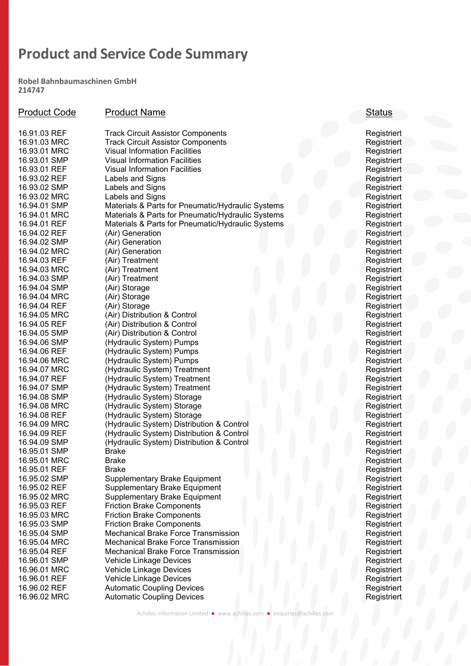Robel Bahnbaumaschinen GmbH 214747

| <b>Product Code</b> | <b>Product Name</b>                               | <b>Status</b> |
|---------------------|---------------------------------------------------|---------------|
| 16.91.03 REF        | <b>Track Circuit Assistor Components</b>          | Registriert   |
| 16.91.03 MRC        | <b>Track Circuit Assistor Components</b>          | Registriert   |
| 16.93.01 MRC        | <b>Visual Information Facilities</b>              | Registriert   |
| 16.93.01 SMP        | <b>Visual Information Facilities</b>              | Registriert   |
| 16.93.01 REF        | <b>Visual Information Facilities</b>              | Registriert   |
| 16.93.02 REF        | Labels and Signs                                  | Registriert   |
| 16.93.02 SMP        | Labels and Signs                                  | Registriert   |
| 16.93.02 MRC        | Labels and Signs                                  | Registriert   |
| 16.94.01 SMP        | Materials & Parts for Pneumatic/Hydraulic Systems | Registriert   |
| 16.94.01 MRC        | Materials & Parts for Pneumatic/Hydraulic Systems | Registriert   |
| 16.94.01 REF        | Materials & Parts for Pneumatic/Hydraulic Systems | Registriert   |
| 16.94.02 REF        | (Air) Generation                                  | Registriert   |
| 16.94.02 SMP        | (Air) Generation                                  | Registriert   |
| 16.94.02 MRC        | (Air) Generation                                  | Registriert   |
| 16.94.03 REF        | (Air) Treatment                                   | Registriert   |
| 16.94.03 MRC        | (Air) Treatment                                   | Registriert   |
| 16.94.03 SMP        | (Air) Treatment                                   | Registriert   |
| 16.94.04 SMP        | (Air) Storage                                     | Registriert   |
| 16.94.04 MRC        | (Air) Storage                                     | Registriert   |
| 16.94.04 REF        | (Air) Storage                                     | Registriert   |
| 16.94.05 MRC        | (Air) Distribution & Control                      | Registriert   |
| 16.94.05 REF        | (Air) Distribution & Control                      | Registriert   |
| 16.94.05 SMP        | (Air) Distribution & Control                      | Registriert   |
| 16.94.06 SMP        | (Hydraulic System) Pumps                          | Registriert   |
| 16.94.06 REF        | (Hydraulic System) Pumps                          | Registriert   |
| 16.94.06 MRC        | (Hydraulic System) Pumps                          | Registriert   |
| 16.94.07 MRC        | (Hydraulic System) Treatment                      | Registriert   |
| 16.94.07 REF        | (Hydraulic System) Treatment                      | Registriert   |
| 16.94.07 SMP        | (Hydraulic System) Treatment                      | Registriert   |
| 16.94.08 SMP        | (Hydraulic System) Storage                        | Registriert   |
| 16.94.08 MRC        | (Hydraulic System) Storage                        | Registriert   |
| 16.94.08 REF        | (Hydraulic System) Storage                        | Registriert   |
| 16.94.09 MRC        | (Hydraulic System) Distribution & Control         | Registriert   |
| 16.94.09 REF        | (Hydraulic System) Distribution & Control         | Registriert   |
| 16.94.09 SMP        | (Hydraulic System) Distribution & Control         | Registriert   |
| 16.95.01 SMP        | <b>Brake</b>                                      | Registriert   |
| 16.95.01 MRC        | <b>Brake</b>                                      | Registriert   |
| 16.95.01 REF        | <b>Brake</b>                                      | Registriert   |
| 16.95.02 SMP        | <b>Supplementary Brake Equipment</b>              | Registriert   |
| 16.95.02 REF        | Supplementary Brake Equipment                     | Registriert   |
| 16.95.02 MRC        | <b>Supplementary Brake Equipment</b>              | Registriert   |
| 16.95.03 REF        | <b>Friction Brake Components</b>                  | Registriert   |
| 16.95.03 MRC        | <b>Friction Brake Components</b>                  | Registriert   |
| 16.95.03 SMP        | <b>Friction Brake Components</b>                  | Registriert   |
| 16.95.04 SMP        | Mechanical Brake Force Transmission               | Registriert   |
| 16.95.04 MRC        | Mechanical Brake Force Transmission               | Registriert   |
| 16.95.04 REF        | Mechanical Brake Force Transmission               | Registriert   |
| 16.96.01 SMP        | Vehicle Linkage Devices                           | Registriert   |
| 16.96.01 MRC        | Vehicle Linkage Devices                           | Registriert   |
| 16.96.01 REF        | Vehicle Linkage Devices                           | Registriert   |
| 16.96.02 REF        | <b>Automatic Coupling Devices</b>                 | Registriert   |
| 16.96.02 MRC        | <b>Automatic Coupling Devices</b>                 | Registriert   |

#### Achilles Information Limited